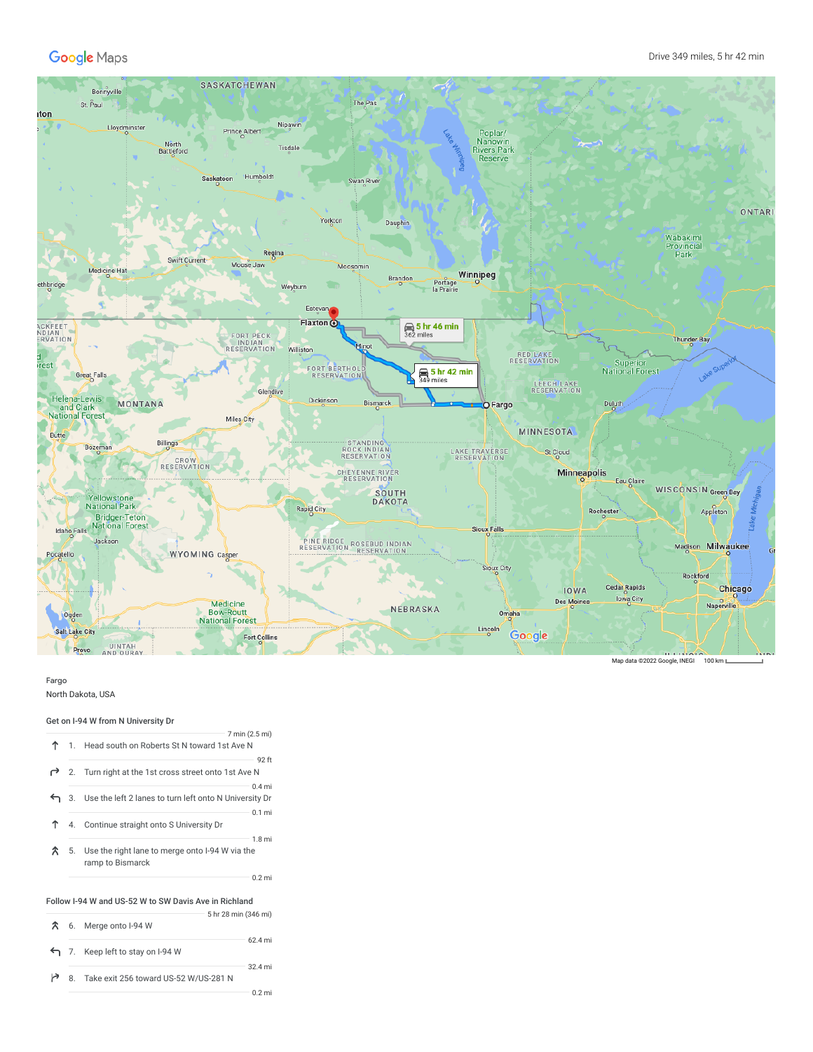

## Fargo

North Dakota, USA

## Get on I-94 W from N University Dr

|                                                       |  | 7 min (2.5 mi)                                                                             |  |  |  |  |
|-------------------------------------------------------|--|--------------------------------------------------------------------------------------------|--|--|--|--|
|                                                       |  | 1. Head south on Roberts St N toward 1st Ave N                                             |  |  |  |  |
|                                                       |  | 92 ft<br>2. Turn right at the 1st cross street onto 1st Ave N                              |  |  |  |  |
|                                                       |  | $0.4$ mi<br>3. Use the left 2 lanes to turn left onto N University Dr                      |  |  |  |  |
| ↑                                                     |  | $0.1$ mi<br>4. Continue straight onto S University Dr                                      |  |  |  |  |
| $\mathcal{R}$                                         |  | 1.8 <sub>m</sub><br>5. Use the right lane to merge onto I-94 W via the<br>ramp to Bismarck |  |  |  |  |
|                                                       |  | $0.2$ mi                                                                                   |  |  |  |  |
| Follow I-94 W and US-52 W to SW Davis Ave in Richland |  |                                                                                            |  |  |  |  |
| ́↑                                                    |  | 5 hr 28 min (346 mi)<br>6 Marge opto LOA W                                                 |  |  |  |  |

|  | $\Lambda$ 0. IVIEIDE UIILO 1-94 VV       | 62.4 mi  |
|--|------------------------------------------|----------|
|  | 7. Keep left to stay on I-94 W           |          |
|  | 8. Take exit 256 toward US-52 W/US-281 N | 32.4 mi  |
|  |                                          | $0.2$ mi |

Map data ©2022 Google, INEGI 100 km L